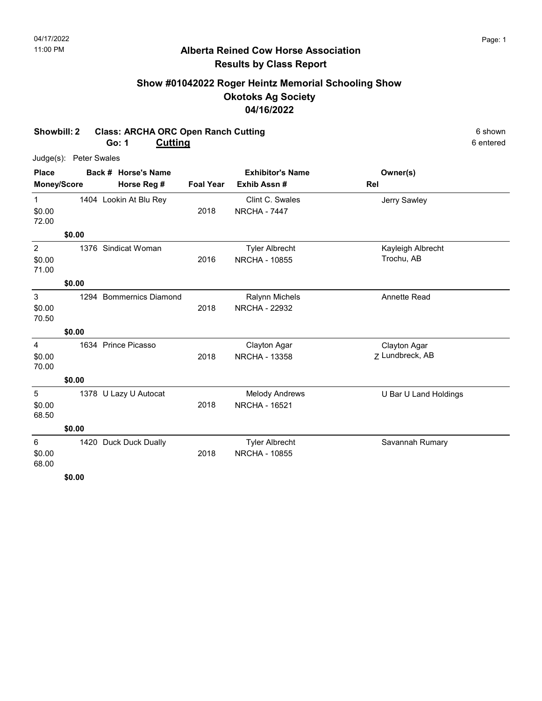## Alberta Reined Cow Horse Association Results by Class Report

# Show #01042022 Roger Heintz Memorial Schooling Show Okotoks Ag Society 04/16/2022

### Showbill: 2 Class: ARCHA ORC Open Ranch Cutting 6 Shown 6 shown Go: 1

Cutting 6 entered

|                                   | Judge(s): Peter Swales |                         |             |                                               |                                 |
|-----------------------------------|------------------------|-------------------------|-------------|-----------------------------------------------|---------------------------------|
| <b>Place</b>                      |                        | Back # Horse's Name     |             | <b>Exhibitor's Name</b>                       | Owner(s)                        |
| Money/Score<br>Horse Reg #        |                        | <b>Foal Year</b>        | Exhib Assn# | Rel                                           |                                 |
| 1<br>\$0.00<br>72.00              |                        | 1404 Lookin At Blu Rey  | 2018        | Clint C. Swales<br><b>NRCHA - 7447</b>        | Jerry Sawley                    |
|                                   | \$0.00                 |                         |             |                                               |                                 |
| $\overline{2}$<br>\$0.00<br>71.00 | 1376                   | Sindicat Woman          | 2016        | <b>Tyler Albrecht</b><br><b>NRCHA - 10855</b> | Kayleigh Albrecht<br>Trochu, AB |
|                                   | \$0.00                 |                         |             |                                               |                                 |
| 3<br>\$0.00<br>70.50              |                        | 1294 Bommernics Diamond | 2018        | <b>Ralynn Michels</b><br><b>NRCHA - 22932</b> | Annette Read                    |
|                                   | \$0.00                 |                         |             |                                               |                                 |
| $\overline{4}$<br>\$0.00<br>70.00 |                        | 1634 Prince Picasso     | 2018        | Clayton Agar<br><b>NRCHA - 13358</b>          | Clayton Agar<br>Z Lundbreck, AB |
|                                   | \$0.00                 |                         |             |                                               |                                 |
| 5<br>\$0.00<br>68.50              |                        | 1378 U Lazy U Autocat   | 2018        | <b>Melody Andrews</b><br><b>NRCHA - 16521</b> | U Bar U Land Holdings           |
|                                   | \$0.00                 |                         |             |                                               |                                 |
| 6<br>\$0.00<br>68.00              |                        | 1420 Duck Duck Dually   | 2018        | <b>Tyler Albrecht</b><br><b>NRCHA - 10855</b> | Savannah Rumary                 |
|                                   | <b>ደስ ሰሰ</b>           |                         |             |                                               |                                 |

\$0.00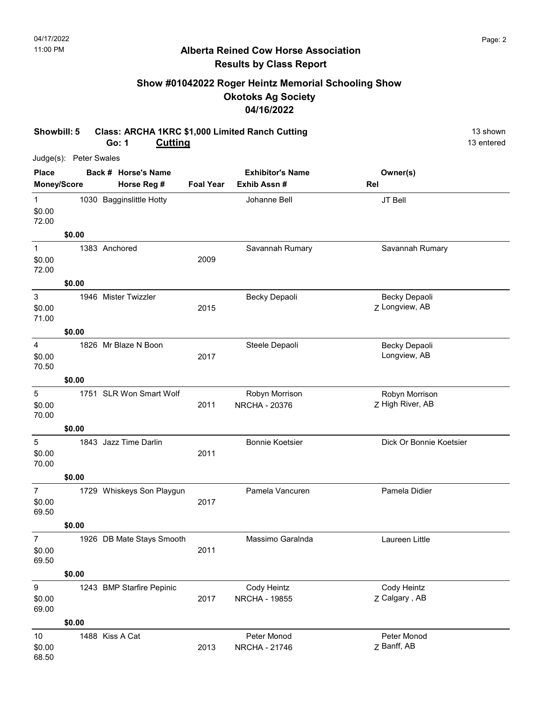### Alberta Reined Cow Horse Association Results by Class Report

# Show #01042022 Roger Heintz Memorial Schooling Show Okotoks Ag Society 04/16/2022

#### Showbill: 5 Class: ARCHA 1KRC \$1,000 Limited Ranch Cutting 13 Shown 13 shown Go: 1 **Cutting** 13 entered

|                                     | Judge(s): Peter Swales |                           |                  |                                        |                                 |                         |
|-------------------------------------|------------------------|---------------------------|------------------|----------------------------------------|---------------------------------|-------------------------|
| <b>Place</b>                        |                        | Back # Horse's Name       |                  | <b>Exhibitor's Name</b>                | Owner(s)                        |                         |
|                                     | Money/Score            | Horse Reg #               | <b>Foal Year</b> | Exhib Assn #                           | Rel                             |                         |
| $\mathbf{1}$<br>\$0.00<br>72.00     |                        | 1030 Bagginslittle Hotty  |                  | Johanne Bell                           | JT Bell                         |                         |
|                                     | \$0.00                 |                           |                  |                                        |                                 |                         |
| $\mathbf{1}$<br>\$0.00<br>72.00     |                        | 1383 Anchored             | 2009             | Savannah Rumary                        |                                 | Savannah Rumary         |
|                                     | \$0.00                 |                           |                  |                                        |                                 |                         |
| $\mathbf{3}$<br>\$0.00<br>71.00     |                        | 1946 Mister Twizzler      | 2015             | Becky Depaoli                          | Becky Depaoli<br>Z Longview, AB |                         |
|                                     | \$0.00                 |                           |                  |                                        |                                 |                         |
| 4<br>\$0.00<br>70.50                |                        | 1826 Mr Blaze N Boon      | 2017             | Steele Depaoli                         | Becky Depaoli<br>Longview, AB   |                         |
|                                     | \$0.00                 |                           |                  |                                        |                                 |                         |
| $\mathbf 5$<br>\$0.00<br>70.00      |                        | 1751 SLR Won Smart Wolf   | 2011             | Robyn Morrison<br><b>NRCHA - 20376</b> | Z High River, AB                | Robyn Morrison          |
|                                     | \$0.00                 |                           |                  |                                        |                                 |                         |
| $\sqrt{5}$<br>\$0.00<br>70.00       |                        | 1843 Jazz Time Darlin     | 2011             | <b>Bonnie Koetsier</b>                 |                                 | Dick Or Bonnie Koetsier |
|                                     | \$0.00                 |                           |                  |                                        |                                 |                         |
| $\overline{7}$<br>\$0.00<br>69.50   |                        | 1729 Whiskeys Son Playgun | 2017             | Pamela Vancuren                        | Pamela Didier                   |                         |
|                                     | \$0.00                 |                           |                  |                                        |                                 |                         |
| $\overline{7}$<br>\$0.00<br>69.50   |                        | 1926 DB Mate Stays Smooth | 2011             | Massimo Garalnda                       | Laureen Little                  |                         |
|                                     | \$0.00                 |                           |                  |                                        |                                 |                         |
| $\boldsymbol{9}$<br>\$0.00<br>69.00 |                        | 1243 BMP Starfire Pepinic | 2017             | Cody Heintz<br><b>NRCHA - 19855</b>    | Cody Heintz<br>Z Calgary, AB    |                         |
|                                     | \$0.00                 |                           |                  |                                        |                                 |                         |
| 10<br>\$0.00<br>68.50               |                        | 1488 Kiss A Cat           | 2013             | Peter Monod<br><b>NRCHA - 21746</b>    | Peter Monod<br>Z Banff, AB      |                         |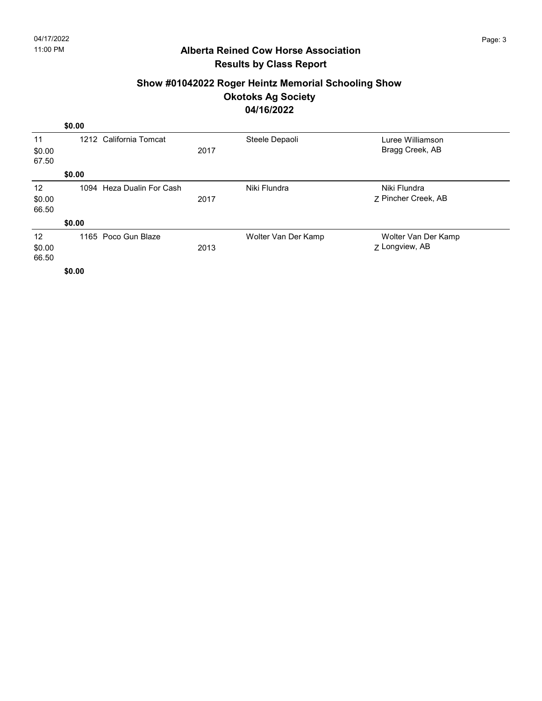## Alberta Reined Cow Horse Association Results by Class Report

### Show #01042022 Roger Heintz Memorial Schooling Show Okotoks Ag Society 04/16/2022

|        | \$0.00   |                           |      |                     |                     |  |
|--------|----------|---------------------------|------|---------------------|---------------------|--|
| 11     |          | 1212 California Tomcat    |      | Steele Depaoli      | Luree Williamson    |  |
| \$0.00 |          |                           | 2017 |                     | Bragg Creek, AB     |  |
| 67.50  |          |                           |      |                     |                     |  |
|        | \$0.00   |                           |      |                     |                     |  |
| 12     |          | 1094 Heza Dualin For Cash |      | Niki Flundra        | Niki Flundra        |  |
| \$0.00 |          |                           | 2017 |                     | 7 Pincher Creek, AB |  |
| 66.50  |          |                           |      |                     |                     |  |
|        | \$0.00   |                           |      |                     |                     |  |
| 12     |          | 1165 Poco Gun Blaze       |      | Wolter Van Der Kamp | Wolter Van Der Kamp |  |
| \$0.00 |          |                           | 2013 |                     | Z Longview, AB      |  |
| 66.50  |          |                           |      |                     |                     |  |
|        | $\cdots$ |                           |      |                     |                     |  |

\$0.00